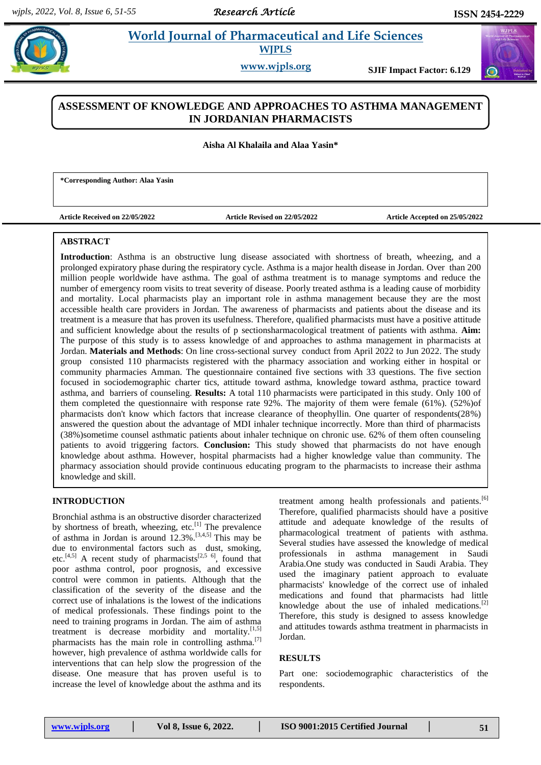# **World Journal of Pharmaceutical and Life Sciences WJPLS**

**www.wjpls.org SJIF Impact Factor: 6.129**

## **ASSESSMENT OF KNOWLEDGE AND APPROACHES TO ASTHMA MANAGEMENT IN JORDANIAN PHARMACISTS**

**Aisha Al Khalaila and Alaa Yasin\***

**\*Corresponding Author: Alaa Yasin**

**Article Received on 22/05/2022 Article Revised on 22/05/2022 Article Accepted on 25/05/2022**

### **ABSTRACT**

**Introduction**: Asthma is an obstructive lung disease associated with shortness of breath, wheezing, and a prolonged expiratory phase during the respiratory cycle. Asthma is a major health disease in Jordan. Over than 200 million people worldwide have asthma. The goal of asthma treatment is to manage symptoms and reduce the number of emergency room visits to treat severity of disease. Poorly treated asthma is a leading cause of morbidity and mortality. Local pharmacists play an important role in asthma management because they are the most accessible health care providers in Jordan. The awareness of pharmacists and patients about the disease and its treatment is a measure that has proven its usefulness. Therefore, qualified pharmacists must have a positive attitude and sufficient knowledge about the results of p sectionsharmacological treatment of patients with asthma. **Aim:**  The purpose of this study is to assess knowledge of and approaches to asthma management in pharmacists at Jordan. **Materials and Methods**: On line cross-sectional survey conduct from April 2022 to Jun 2022. The study group consisted 110 pharmacists registered with the pharmacy association and working either in hospital or community pharmacies Amman. The questionnaire contained five sections with 33 questions. The five section focused in sociodemographic charter tics, attitude toward asthma, knowledge toward asthma, practice toward asthma, and barriers of counseling. **Results:** A total 110 pharmacists were participated in this study. Only 100 of them completed the questionnaire with response rate 92%. The majority of them were female (61%). (52%)of pharmacists don't know which factors that increase clearance of theophyllin. One quarter of respondents(28%) answered the question about the advantage of MDI inhaler technique incorrectly. More than third of pharmacists (38%)sometime counsel asthmatic patients about inhaler technique on chronic use. 62% of them often counseling patients to avoid triggering factors. **Conclusion:** This study showed that pharmacists do not have enough knowledge about asthma. However, hospital pharmacists had a higher knowledge value than community. The pharmacy association should provide continuous educating program to the pharmacists to increase their asthma knowledge and skill.

#### **INTRODUCTION**

Bronchial asthma is an obstructive disorder characterized by shortness of breath, wheezing, etc. $[1]$  The prevalence of asthma in Jordan is around  $12.3\%$ .<sup>[3,4,5]</sup> This may be due to environmental factors such as dust, smoking, etc.<sup>[4,5]</sup> A recent study of pharmacists<sup>[2,5 6]</sup>, found that poor asthma control, poor prognosis, and excessive control were common in patients. Although that the classification of the severity of the disease and the correct use of inhalations is the lowest of the indications of medical professionals. These findings point to the need to training programs in Jordan. The aim of asthma treatment is decrease morbidity and mortality.<sup>[1,5]</sup> pharmacists has the main role in controlling asthma.<sup>[7]</sup> however, high prevalence of asthma worldwide calls for interventions that can help slow the progression of the disease. One measure that has proven useful is to increase the level of knowledge about the asthma and its

treatment among health professionals and patients.<sup>[6]</sup> Therefore, qualified pharmacists should have a positive attitude and adequate knowledge of the results of pharmacological treatment of patients with asthma. Several studies have assessed the knowledge of medical professionals in asthma management in Saudi Arabia.One study was conducted in Saudi Arabia. They used the imaginary patient approach to evaluate pharmacists' knowledge of the correct use of inhaled medications and found that pharmacists had little knowledge about the use of inhaled medications.[2] Therefore, this study is designed to assess knowledge and attitudes towards asthma treatment in pharmacists in Jordan.

#### **RESULTS**

Part one: sociodemographic characteristics of the respondents.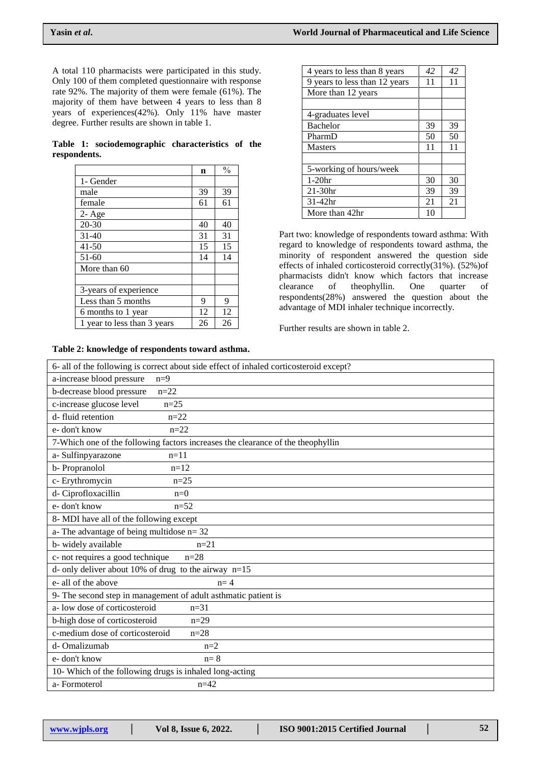A total 110 pharmacists were participated in this study. Only 100 of them completed questionnaire with response rate 92%. The majority of them were female (61%). The majority of them have between 4 years to less than 8 years of experiences(42%). Only 11% have master degree. Further results are shown in table 1.

|              | Table 1: sociodemographic characteristics of the |  |  |
|--------------|--------------------------------------------------|--|--|
| respondents. |                                                  |  |  |

|                             | n  | $\frac{0}{0}$ |
|-----------------------------|----|---------------|
| 1- Gender                   |    |               |
| male                        | 39 | 39            |
| female                      | 61 | 61            |
| $2 - Age$                   |    |               |
| $20 - 30$                   | 40 | 40            |
| $31-40$                     | 31 | 31            |
| $41 - 50$                   | 15 | 15            |
| $51-60$                     | 14 | 14            |
| More than 60                |    |               |
|                             |    |               |
| 3-years of experience       |    |               |
| Less than 5 months          | 9  | 9             |
| 6 months to 1 year          | 12 | 12            |
| 1 year to less than 3 years | 26 | 26            |

#### **Table 2: knowledge of respondents toward asthma.**

| 4 years to less than 8 years  | 42 | 42 |
|-------------------------------|----|----|
| 9 years to less than 12 years | 11 | 11 |
| More than 12 years            |    |    |
|                               |    |    |
| 4-graduates level             |    |    |
| <b>Bachelor</b>               | 39 | 39 |
| PharmD                        | 50 | 50 |
| <b>Masters</b>                | 11 | 11 |
|                               |    |    |
| 5-working of hours/week       |    |    |
| $1-20$ hr                     | 30 | 30 |
| $21-30hr$                     | 39 | 39 |
| $31-42hr$                     | 21 | 21 |
| More than 42hr                | 10 |    |

Part two: knowledge of respondents toward asthma: With regard to knowledge of respondents toward asthma, the minority of respondent answered the question side effects of inhaled corticosteroid correctly(31%). (52%)of pharmacists didn't know which factors that increase clearance of theophyllin. One quarter of respondents(28%) answered the question about the advantage of MDI inhaler technique incorrectly.

Further results are shown in table 2.

| 6- all of the following is correct about side effect of inhaled corticosteroid except? |
|----------------------------------------------------------------------------------------|
| a-increase blood pressure<br>$n=9$                                                     |
| $n=22$<br>b-decrease blood pressure                                                    |
| c-increase glucose level<br>$n=25$                                                     |
| d-fluid retention<br>$n=22$                                                            |
| e-don't know<br>$n=22$                                                                 |
| 7-Which one of the following factors increases the clearance of the theophyllin        |
| a- Sulfinpyarazone<br>$n=11$                                                           |
| b-Propranolol<br>$n=12$                                                                |
| c- Erythromycin<br>$n=25$                                                              |
| d- Ciprofloxacillin<br>$n=0$                                                           |
| e-don't know<br>$n=52$                                                                 |
| 8- MDI have all of the following except                                                |
| a-The advantage of being multidose $n = 32$                                            |
| b-widely available<br>$n=21$                                                           |
| c- not requires a good technique<br>$n=28$                                             |
| d- only deliver about 10% of drug to the airway $n=15$                                 |
| e- all of the above<br>$n=4$                                                           |
| 9- The second step in management of adult asthmatic patient is                         |
| a-low dose of corticosteroid<br>$n = 31$                                               |
| b-high dose of corticosteroid<br>$n=29$                                                |
| c-medium dose of corticosteroid<br>$n=28$                                              |
| d-Omalizumab<br>$n=2$                                                                  |
| $n=8$<br>e-don't know                                                                  |
| 10- Which of the following drugs is inhaled long-acting                                |
| a-Formoterol<br>$n=42$                                                                 |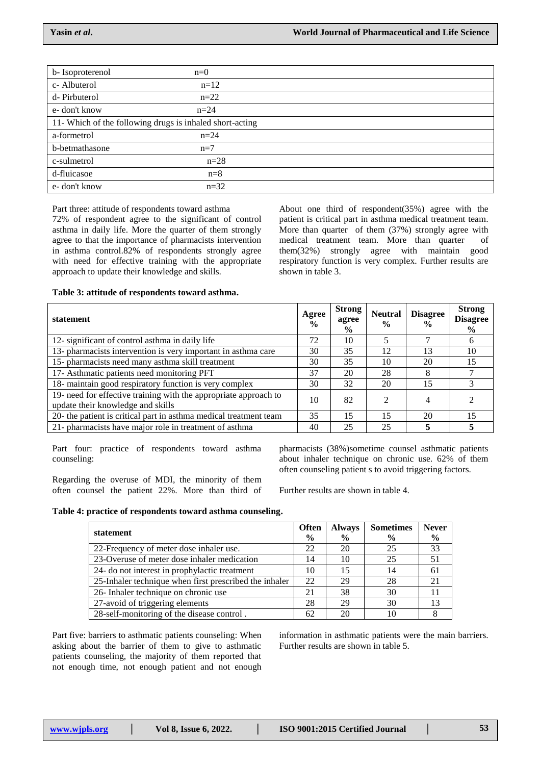| b-Isoproterenol                                          | $n=0$  |
|----------------------------------------------------------|--------|
| c-Albuterol                                              | $n=12$ |
| d-Pirbuterol                                             | $n=22$ |
| e-don't know                                             | $n=24$ |
| 11- Which of the following drugs is inhaled short-acting |        |
| a-formetrol                                              | $n=24$ |
| b-betmathasone                                           | $n=7$  |
| c-sulmetrol                                              | $n=28$ |
| d-fluicasoe                                              | $n=8$  |
| e- don't know                                            | $n=32$ |

Part three: attitude of respondents toward asthma

72% of respondent agree to the significant of control asthma in daily life. More the quarter of them strongly agree to that the importance of pharmacists intervention in asthma control.82% of respondents strongly agree with need for effective training with the appropriate approach to update their knowledge and skills.

About one third of respondent(35%) agree with the patient is critical part in asthma medical treatment team. More than quarter of them (37%) strongly agree with medical treatment team. More than quarter of them(32%) strongly agree with maintain good respiratory function is very complex. Further results are shown in table 3.

#### **Table 3: attitude of respondents toward asthma.**

| statement                                                                                             | Agree<br>$\frac{0}{0}$ | <b>Strong</b><br>agree<br>$\frac{6}{9}$ | <b>Neutral</b><br>$\frac{0}{0}$ | <b>Disagree</b><br>$\frac{0}{0}$ | <b>Strong</b><br><b>Disagree</b><br>$\frac{6}{10}$ |
|-------------------------------------------------------------------------------------------------------|------------------------|-----------------------------------------|---------------------------------|----------------------------------|----------------------------------------------------|
| 12- significant of control asthma in daily life                                                       | 72                     | 10                                      |                                 |                                  | 6                                                  |
| 13- pharmacists intervention is very important in asthma care                                         | 30                     | 35                                      | 12                              | 13                               | 10                                                 |
| 15- pharmacists need many asthma skill treatment                                                      | 30                     | 35                                      | 10                              | 20                               | 15                                                 |
| 17- Asthmatic patients need monitoring PFT                                                            | 37                     | 20                                      | 28                              | 8                                |                                                    |
| 18- maintain good respiratory function is very complex                                                | 30                     | 32                                      | 20                              | 15                               |                                                    |
| 19- need for effective training with the appropriate approach to<br>update their knowledge and skills | 10                     | 82                                      | $\mathfrak{D}$                  | 4                                |                                                    |
| 20- the patient is critical part in asthma medical treatment team                                     | 35                     | 15                                      | 15                              | 20                               | 15                                                 |
| 21- pharmacists have major role in treatment of asthma                                                | 40                     | 25                                      | 25                              |                                  |                                                    |

Part four: practice of respondents toward asthma counseling:

Regarding the overuse of MDI, the minority of them often counsel the patient 22%. More than third of pharmacists (38%)sometime counsel asthmatic patients about inhaler technique on chronic use. 62% of them often counseling patient s to avoid triggering factors.

Further results are shown in table 4.

#### **Table 4: practice of respondents toward asthma counseling.**

| statement                                              | <b>Often</b><br>$\frac{0}{0}$ | <b>Always</b><br>$\frac{0}{0}$ | <b>Sometimes</b><br>$\frac{0}{0}$ | <b>Never</b><br>$\frac{6}{9}$ |
|--------------------------------------------------------|-------------------------------|--------------------------------|-----------------------------------|-------------------------------|
| 22-Frequency of meter dose inhaler use.                | 22                            | 20                             | 25                                | 33                            |
| 23-Overuse of meter dose inhaler medication            | 14                            | 10                             | 25                                | 51                            |
| 24- do not interest in prophylactic treatment          | 10                            | 15                             | 14                                | 61                            |
| 25-Inhaler technique when first prescribed the inhaler | 22                            | 29                             | 28                                | 21                            |
| 26- Inhaler technique on chronic use                   | 21                            | 38                             | 30                                |                               |
| 27-avoid of triggering elements                        | 28                            | 29                             | 30                                | 13                            |
| 28-self-monitoring of the disease control.             | 62                            | 20                             | 10                                |                               |

Part five: barriers to asthmatic patients counseling: When asking about the barrier of them to give to asthmatic patients counseling, the majority of them reported that not enough time, not enough patient and not enough information in asthmatic patients were the main barriers. Further results are shown in table 5.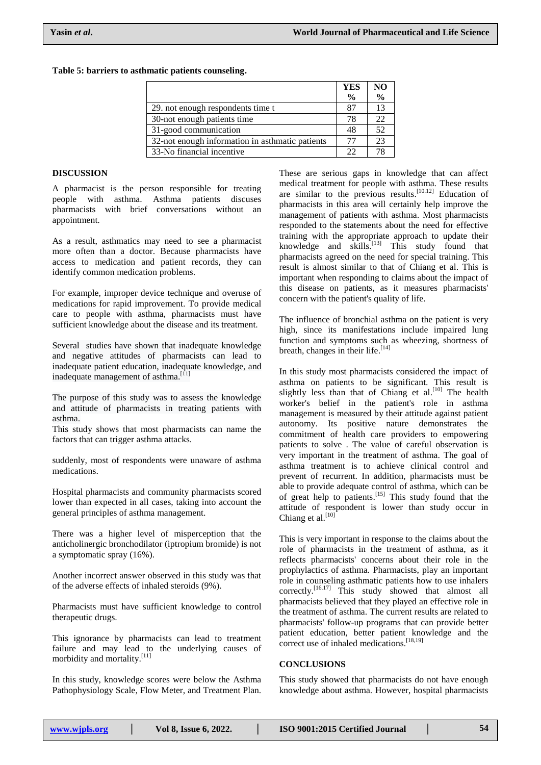#### **Table 5: barriers to asthmatic patients counseling.**

|                                                 | <b>YES</b>    | N <sub>O</sub> |
|-------------------------------------------------|---------------|----------------|
|                                                 | $\frac{6}{9}$ | $\frac{0}{0}$  |
| 29. not enough respondents time t               | 87            | 13             |
| 30-not enough patients time                     | 78            | 22             |
| 31-good communication                           | 48            | 52             |
| 32-not enough information in asthmatic patients | 77            | 23             |
| 33-No financial incentive                       | つつ            | 78             |

#### **DISCUSSION**

A pharmacist is the person responsible for treating people with asthma. Asthma patients discuses pharmacists with brief conversations without an appointment.

As a result, asthmatics may need to see a pharmacist more often than a doctor. Because pharmacists have access to medication and patient records, they can identify common medication problems.

For example, improper device technique and overuse of medications for rapid improvement. To provide medical care to people with asthma, pharmacists must have sufficient knowledge about the disease and its treatment.

Several studies have shown that inadequate knowledge and negative attitudes of pharmacists can lead to inadequate patient education, inadequate knowledge, and inadequate management of asthma.<sup>[11]</sup>

The purpose of this study was to assess the knowledge and attitude of pharmacists in treating patients with asthma.

This study shows that most pharmacists can name the factors that can trigger asthma attacks.

suddenly, most of respondents were unaware of asthma medications.

Hospital pharmacists and community pharmacists scored lower than expected in all cases, taking into account the general principles of asthma management.

There was a higher level of misperception that the anticholinergic bronchodilator (iptropium bromide) is not a symptomatic spray (16%).

Another incorrect answer observed in this study was that of the adverse effects of inhaled steroids (9%).

Pharmacists must have sufficient knowledge to control therapeutic drugs.

This ignorance by pharmacists can lead to treatment failure and may lead to the underlying causes of morbidity and mortality.<sup>[11]</sup>

In this study, knowledge scores were below the Asthma Pathophysiology Scale, Flow Meter, and Treatment Plan.

These are serious gaps in knowledge that can affect medical treatment for people with asthma. These results are similar to the previous results.<sup>[10.12]</sup> Education of pharmacists in this area will certainly help improve the management of patients with asthma. Most pharmacists responded to the statements about the need for effective training with the appropriate approach to update their knowledge and skills. [13] This study found that pharmacists agreed on the need for special training. This result is almost similar to that of Chiang et al. This is important when responding to claims about the impact of this disease on patients, as it measures pharmacists' concern with the patient's quality of life.

The influence of bronchial asthma on the patient is very high, since its manifestations include impaired lung function and symptoms such as wheezing, shortness of breath, changes in their life.<sup>[14]</sup>

In this study most pharmacists considered the impact of asthma on patients to be significant. This result is slightly less than that of Chiang et al.<sup>[10]</sup> The health worker's belief in the patient's role in asthma management is measured by their attitude against patient autonomy. Its positive nature demonstrates the commitment of health care providers to empowering patients to solve . The value of careful observation is very important in the treatment of asthma. The goal of asthma treatment is to achieve clinical control and prevent of recurrent. In addition, pharmacists must be able to provide adequate control of asthma, which can be of great help to patients. [15] This study found that the attitude of respondent is lower than study occur in Chiang et al.<sup>[10]</sup>

This is very important in response to the claims about the role of pharmacists in the treatment of asthma, as it reflects pharmacists' concerns about their role in the prophylactics of asthma. Pharmacists, play an important role in counseling asthmatic patients how to use inhalers correctly.<sup>[16.17]</sup> This study showed that almost all pharmacists believed that they played an effective role in the treatment of asthma. The current results are related to pharmacists' follow-up programs that can provide better patient education, better patient knowledge and the correct use of inhaled medications. [18,19]

#### **CONCLUSIONS**

This study showed that pharmacists do not have enough knowledge about asthma. However, hospital pharmacists